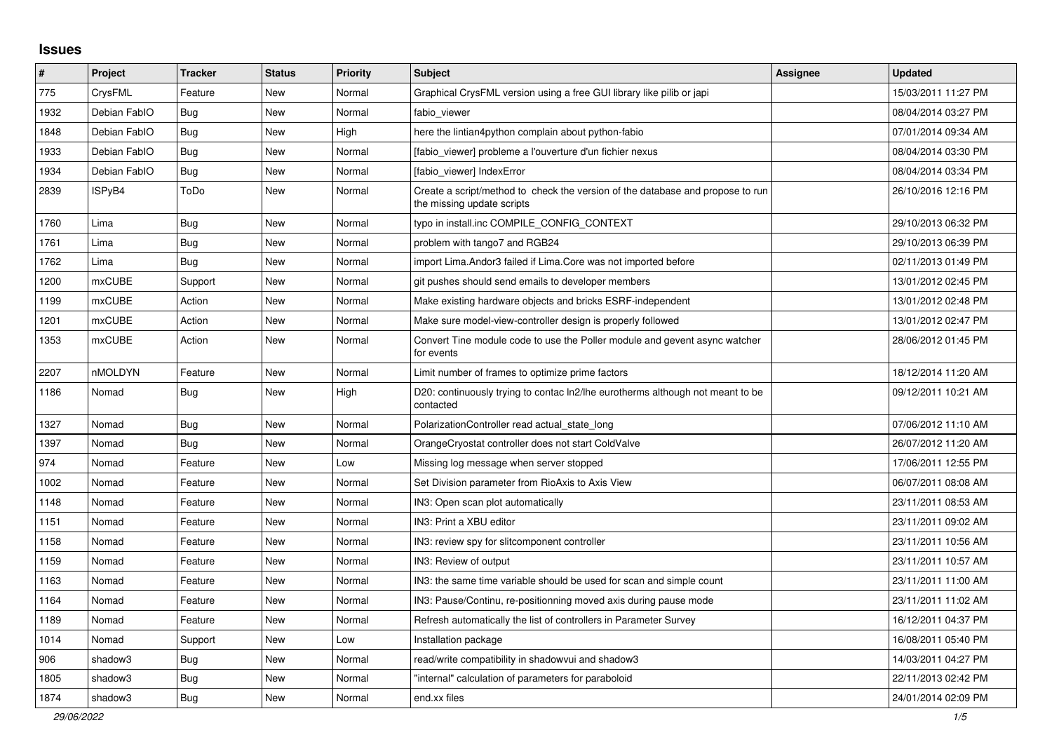## **Issues**

| #    | <b>Project</b> | <b>Tracker</b> | <b>Status</b> | Priority | <b>Subject</b>                                                                                               | Assignee | <b>Updated</b>      |
|------|----------------|----------------|---------------|----------|--------------------------------------------------------------------------------------------------------------|----------|---------------------|
| 775  | CrysFML        | Feature        | New           | Normal   | Graphical CrysFML version using a free GUI library like pilib or japi                                        |          | 15/03/2011 11:27 PM |
| 1932 | Debian FablO   | <b>Bug</b>     | <b>New</b>    | Normal   | fabio viewer                                                                                                 |          | 08/04/2014 03:27 PM |
| 1848 | Debian FablO   | Bug            | New           | High     | here the lintian4python complain about python-fabio                                                          |          | 07/01/2014 09:34 AM |
| 1933 | Debian FablO   | Bug            | New           | Normal   | [fabio viewer] probleme a l'ouverture d'un fichier nexus                                                     |          | 08/04/2014 03:30 PM |
| 1934 | Debian FablO   | Bug            | New           | Normal   | [fabio viewer] IndexError                                                                                    |          | 08/04/2014 03:34 PM |
| 2839 | ISPyB4         | ToDo           | New           | Normal   | Create a script/method to check the version of the database and propose to run<br>the missing update scripts |          | 26/10/2016 12:16 PM |
| 1760 | Lima           | <b>Bug</b>     | New           | Normal   | typo in install.inc COMPILE CONFIG CONTEXT                                                                   |          | 29/10/2013 06:32 PM |
| 1761 | Lima           | Bug            | <b>New</b>    | Normal   | problem with tango7 and RGB24                                                                                |          | 29/10/2013 06:39 PM |
| 1762 | Lima           | <b>Bug</b>     | <b>New</b>    | Normal   | import Lima. Andor3 failed if Lima. Core was not imported before                                             |          | 02/11/2013 01:49 PM |
| 1200 | mxCUBE         | Support        | New           | Normal   | git pushes should send emails to developer members                                                           |          | 13/01/2012 02:45 PM |
| 1199 | mxCUBE         | Action         | New           | Normal   | Make existing hardware objects and bricks ESRF-independent                                                   |          | 13/01/2012 02:48 PM |
| 1201 | mxCUBE         | Action         | New           | Normal   | Make sure model-view-controller design is properly followed                                                  |          | 13/01/2012 02:47 PM |
| 1353 | mxCUBE         | Action         | New           | Normal   | Convert Tine module code to use the Poller module and gevent async watcher<br>for events                     |          | 28/06/2012 01:45 PM |
| 2207 | nMOLDYN        | Feature        | New           | Normal   | Limit number of frames to optimize prime factors                                                             |          | 18/12/2014 11:20 AM |
| 1186 | Nomad          | Bug            | New           | High     | D20: continuously trying to contac ln2/lhe eurotherms although not meant to be<br>contacted                  |          | 09/12/2011 10:21 AM |
| 1327 | Nomad          | <b>Bug</b>     | New           | Normal   | PolarizationController read actual_state_long                                                                |          | 07/06/2012 11:10 AM |
| 1397 | Nomad          | Bug            | New           | Normal   | OrangeCryostat controller does not start ColdValve                                                           |          | 26/07/2012 11:20 AM |
| 974  | Nomad          | Feature        | New           | Low      | Missing log message when server stopped                                                                      |          | 17/06/2011 12:55 PM |
| 1002 | Nomad          | Feature        | New           | Normal   | Set Division parameter from RioAxis to Axis View                                                             |          | 06/07/2011 08:08 AM |
| 1148 | Nomad          | Feature        | New           | Normal   | IN3: Open scan plot automatically                                                                            |          | 23/11/2011 08:53 AM |
| 1151 | Nomad          | Feature        | New           | Normal   | IN3: Print a XBU editor                                                                                      |          | 23/11/2011 09:02 AM |
| 1158 | Nomad          | Feature        | New           | Normal   | IN3: review spy for slitcomponent controller                                                                 |          | 23/11/2011 10:56 AM |
| 1159 | Nomad          | Feature        | New           | Normal   | IN3: Review of output                                                                                        |          | 23/11/2011 10:57 AM |
| 1163 | Nomad          | Feature        | New           | Normal   | IN3: the same time variable should be used for scan and simple count                                         |          | 23/11/2011 11:00 AM |
| 1164 | Nomad          | Feature        | <b>New</b>    | Normal   | IN3: Pause/Continu, re-positionning moved axis during pause mode                                             |          | 23/11/2011 11:02 AM |
| 1189 | Nomad          | Feature        | <b>New</b>    | Normal   | Refresh automatically the list of controllers in Parameter Survey                                            |          | 16/12/2011 04:37 PM |
| 1014 | Nomad          | Support        | New           | Low      | Installation package                                                                                         |          | 16/08/2011 05:40 PM |
| 906  | shadow3        | Bug            | New           | Normal   | read/write compatibility in shadowvui and shadow3                                                            |          | 14/03/2011 04:27 PM |
| 1805 | shadow3        | Bug            | New           | Normal   | "internal" calculation of parameters for paraboloid                                                          |          | 22/11/2013 02:42 PM |
| 1874 | shadow3        | Bug            | New           | Normal   | end.xx files                                                                                                 |          | 24/01/2014 02:09 PM |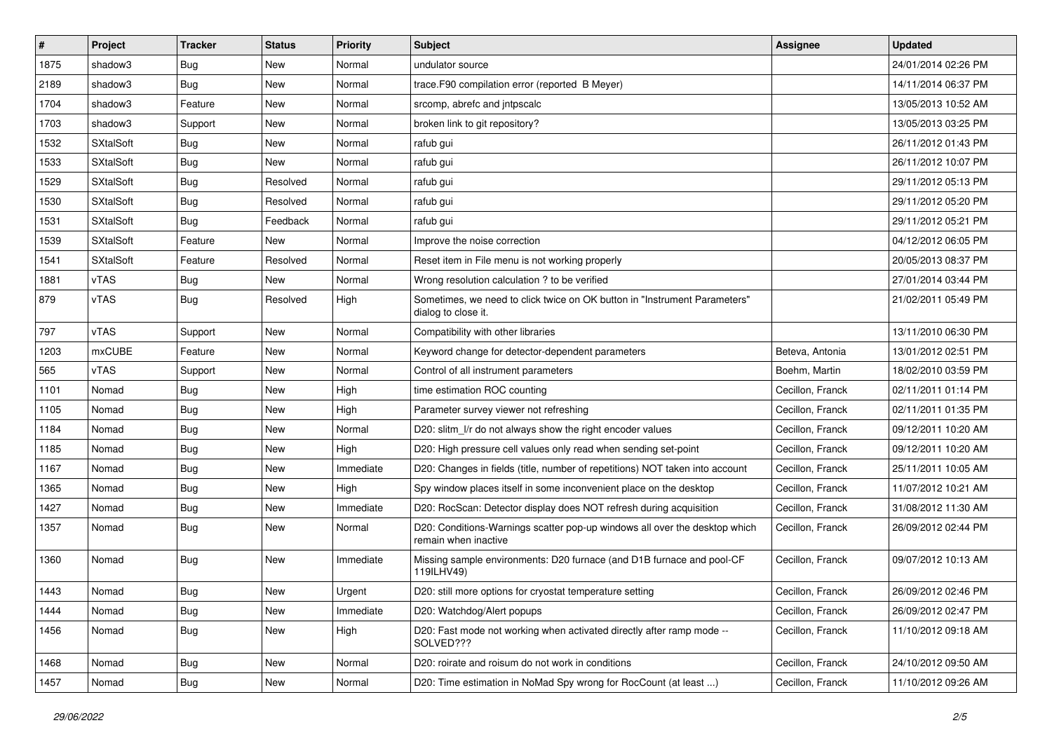| #    | Project          | <b>Tracker</b>   | <b>Status</b> | <b>Priority</b> | Subject                                                                                            | <b>Assignee</b>  | <b>Updated</b>      |
|------|------------------|------------------|---------------|-----------------|----------------------------------------------------------------------------------------------------|------------------|---------------------|
| 1875 | shadow3          | <b>Bug</b>       | New           | Normal          | undulator source                                                                                   |                  | 24/01/2014 02:26 PM |
| 2189 | shadow3          | Bug              | New           | Normal          | trace.F90 compilation error (reported B Meyer)                                                     |                  | 14/11/2014 06:37 PM |
| 1704 | shadow3          | Feature          | New           | Normal          | srcomp, abrefc and intpscalc                                                                       |                  | 13/05/2013 10:52 AM |
| 1703 | shadow3          | Support          | New           | Normal          | broken link to git repository?                                                                     |                  | 13/05/2013 03:25 PM |
| 1532 | <b>SXtalSoft</b> | <b>Bug</b>       | New           | Normal          | rafub gui                                                                                          |                  | 26/11/2012 01:43 PM |
| 1533 | <b>SXtalSoft</b> | <b>Bug</b>       | New           | Normal          | rafub gui                                                                                          |                  | 26/11/2012 10:07 PM |
| 1529 | <b>SXtalSoft</b> | <b>Bug</b>       | Resolved      | Normal          | rafub gui                                                                                          |                  | 29/11/2012 05:13 PM |
| 1530 | <b>SXtalSoft</b> | <b>Bug</b>       | Resolved      | Normal          | rafub gui                                                                                          |                  | 29/11/2012 05:20 PM |
| 1531 | <b>SXtalSoft</b> | <b>Bug</b>       | Feedback      | Normal          | rafub gui                                                                                          |                  | 29/11/2012 05:21 PM |
| 1539 | <b>SXtalSoft</b> | Feature          | New           | Normal          | Improve the noise correction                                                                       |                  | 04/12/2012 06:05 PM |
| 1541 | <b>SXtalSoft</b> | Feature          | Resolved      | Normal          | Reset item in File menu is not working properly                                                    |                  | 20/05/2013 08:37 PM |
| 1881 | vTAS             | <b>Bug</b>       | New           | Normal          | Wrong resolution calculation ? to be verified                                                      |                  | 27/01/2014 03:44 PM |
| 879  | vTAS             | <b>Bug</b>       | Resolved      | High            | Sometimes, we need to click twice on OK button in "Instrument Parameters"<br>dialog to close it.   |                  | 21/02/2011 05:49 PM |
| 797  | vTAS             | Support          | New           | Normal          | Compatibility with other libraries                                                                 |                  | 13/11/2010 06:30 PM |
| 1203 | mxCUBE           | Feature          | New           | Normal          | Keyword change for detector-dependent parameters                                                   | Beteva, Antonia  | 13/01/2012 02:51 PM |
| 565  | vTAS             | Support          | New           | Normal          | Control of all instrument parameters                                                               | Boehm, Martin    | 18/02/2010 03:59 PM |
| 1101 | Nomad            | <b>Bug</b>       | New           | High            | time estimation ROC counting                                                                       | Cecillon, Franck | 02/11/2011 01:14 PM |
| 1105 | Nomad            | <b>Bug</b>       | New           | High            | Parameter survey viewer not refreshing                                                             | Cecillon, Franck | 02/11/2011 01:35 PM |
| 1184 | Nomad            | <b>Bug</b>       | New           | Normal          | D20: slitm_l/r do not always show the right encoder values                                         | Cecillon, Franck | 09/12/2011 10:20 AM |
| 1185 | Nomad            | <b>Bug</b>       | New           | High            | D20: High pressure cell values only read when sending set-point                                    | Cecillon, Franck | 09/12/2011 10:20 AM |
| 1167 | Nomad            | <b>Bug</b>       | New           | Immediate       | D20: Changes in fields (title, number of repetitions) NOT taken into account                       | Cecillon, Franck | 25/11/2011 10:05 AM |
| 1365 | Nomad            | <b>Bug</b>       | New           | High            | Spy window places itself in some inconvenient place on the desktop                                 | Cecillon, Franck | 11/07/2012 10:21 AM |
| 1427 | Nomad            | Bug              | New           | Immediate       | D20: RocScan: Detector display does NOT refresh during acquisition                                 | Cecillon, Franck | 31/08/2012 11:30 AM |
| 1357 | Nomad            | <b>Bug</b>       | New           | Normal          | D20: Conditions-Warnings scatter pop-up windows all over the desktop which<br>remain when inactive | Cecillon, Franck | 26/09/2012 02:44 PM |
| 1360 | Nomad            | <b>Bug</b>       | New           | Immediate       | Missing sample environments: D20 furnace (and D1B furnace and pool-CF<br>119ILHV49)                | Cecillon, Franck | 09/07/2012 10:13 AM |
| 1443 | Nomad            | <sub>I</sub> Bug | New           | Urgent          | D20: still more options for cryostat temperature setting                                           | Cecillon, Franck | 26/09/2012 02:46 PM |
| 1444 | Nomad            | <b>Bug</b>       | New           | Immediate       | D20: Watchdog/Alert popups                                                                         | Cecillon, Franck | 26/09/2012 02:47 PM |
| 1456 | Nomad            | Bug              | New           | High            | D20: Fast mode not working when activated directly after ramp mode --<br>SOLVED???                 | Cecillon, Franck | 11/10/2012 09:18 AM |
| 1468 | Nomad            | <b>Bug</b>       | New           | Normal          | D20: roirate and roisum do not work in conditions                                                  | Cecillon, Franck | 24/10/2012 09:50 AM |
| 1457 | Nomad            | <b>Bug</b>       | New           | Normal          | D20: Time estimation in NoMad Spy wrong for RocCount (at least )                                   | Cecillon, Franck | 11/10/2012 09:26 AM |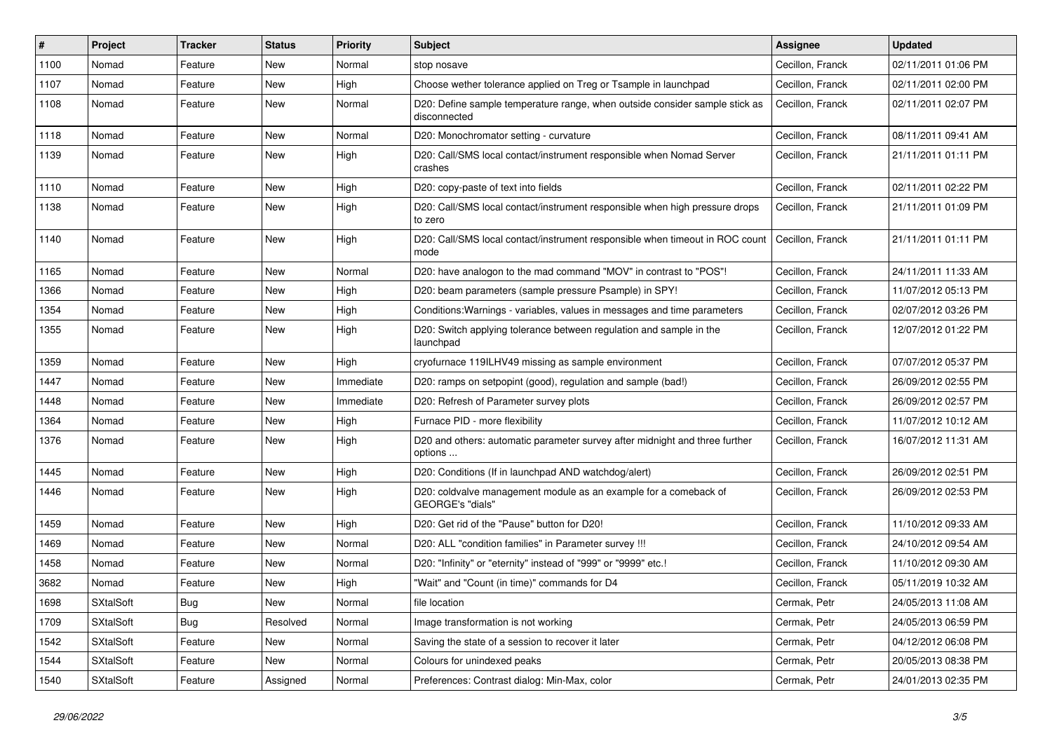| #    | Project          | <b>Tracker</b> | <b>Status</b> | <b>Priority</b> | <b>Subject</b>                                                                              | <b>Assignee</b>  | <b>Updated</b>      |
|------|------------------|----------------|---------------|-----------------|---------------------------------------------------------------------------------------------|------------------|---------------------|
| 1100 | Nomad            | Feature        | New           | Normal          | stop nosave                                                                                 | Cecillon, Franck | 02/11/2011 01:06 PM |
| 1107 | Nomad            | Feature        | New           | High            | Choose wether tolerance applied on Treg or Tsample in launchpad                             | Cecillon, Franck | 02/11/2011 02:00 PM |
| 1108 | Nomad            | Feature        | New           | Normal          | D20: Define sample temperature range, when outside consider sample stick as<br>disconnected | Cecillon, Franck | 02/11/2011 02:07 PM |
| 1118 | Nomad            | Feature        | New           | Normal          | D20: Monochromator setting - curvature                                                      | Cecillon, Franck | 08/11/2011 09:41 AM |
| 1139 | Nomad            | Feature        | New           | High            | D20: Call/SMS local contact/instrument responsible when Nomad Server<br>crashes             | Cecillon, Franck | 21/11/2011 01:11 PM |
| 1110 | Nomad            | Feature        | New           | High            | D20: copy-paste of text into fields                                                         | Cecillon, Franck | 02/11/2011 02:22 PM |
| 1138 | Nomad            | Feature        | New           | High            | D20: Call/SMS local contact/instrument responsible when high pressure drops<br>to zero      | Cecillon, Franck | 21/11/2011 01:09 PM |
| 1140 | Nomad            | Feature        | New           | High            | D20: Call/SMS local contact/instrument responsible when timeout in ROC count<br>mode        | Cecillon, Franck | 21/11/2011 01:11 PM |
| 1165 | Nomad            | Feature        | New           | Normal          | D20: have analogon to the mad command "MOV" in contrast to "POS"!                           | Cecillon, Franck | 24/11/2011 11:33 AM |
| 1366 | Nomad            | Feature        | New           | High            | D20: beam parameters (sample pressure Psample) in SPY!                                      | Cecillon, Franck | 11/07/2012 05:13 PM |
| 1354 | Nomad            | Feature        | New           | High            | Conditions: Warnings - variables, values in messages and time parameters                    | Cecillon, Franck | 02/07/2012 03:26 PM |
| 1355 | Nomad            | Feature        | New           | High            | D20: Switch applying tolerance between regulation and sample in the<br>launchpad            | Cecillon, Franck | 12/07/2012 01:22 PM |
| 1359 | Nomad            | Feature        | <b>New</b>    | High            | cryofurnace 119ILHV49 missing as sample environment                                         | Cecillon, Franck | 07/07/2012 05:37 PM |
| 1447 | Nomad            | Feature        | New           | Immediate       | D20: ramps on setpopint (good), regulation and sample (bad!)                                | Cecillon, Franck | 26/09/2012 02:55 PM |
| 1448 | Nomad            | Feature        | New           | Immediate       | D20: Refresh of Parameter survey plots                                                      | Cecillon, Franck | 26/09/2012 02:57 PM |
| 1364 | Nomad            | Feature        | New           | High            | Furnace PID - more flexibility                                                              | Cecillon, Franck | 11/07/2012 10:12 AM |
| 1376 | Nomad            | Feature        | New           | High            | D20 and others: automatic parameter survey after midnight and three further<br>options      | Cecillon, Franck | 16/07/2012 11:31 AM |
| 1445 | Nomad            | Feature        | New           | High            | D20: Conditions (If in launchpad AND watchdog/alert)                                        | Cecillon, Franck | 26/09/2012 02:51 PM |
| 1446 | Nomad            | Feature        | New           | High            | D20: coldvalve management module as an example for a comeback of<br>GEORGE's "dials"        | Cecillon, Franck | 26/09/2012 02:53 PM |
| 1459 | Nomad            | Feature        | New           | High            | D20: Get rid of the "Pause" button for D20!                                                 | Cecillon, Franck | 11/10/2012 09:33 AM |
| 1469 | Nomad            | Feature        | <b>New</b>    | Normal          | D20: ALL "condition families" in Parameter survey !!!                                       | Cecillon, Franck | 24/10/2012 09:54 AM |
| 1458 | Nomad            | Feature        | New           | Normal          | D20: "Infinity" or "eternity" instead of "999" or "9999" etc.!                              | Cecillon, Franck | 11/10/2012 09:30 AM |
| 3682 | Nomad            | Feature        | New           | High            | "Wait" and "Count (in time)" commands for D4                                                | Cecillon, Franck | 05/11/2019 10:32 AM |
| 1698 | <b>SXtalSoft</b> | <b>Bug</b>     | New           | Normal          | file location                                                                               | Cermak, Petr     | 24/05/2013 11:08 AM |
| 1709 | <b>SXtalSoft</b> | Bug            | Resolved      | Normal          | Image transformation is not working                                                         | Cermak, Petr     | 24/05/2013 06:59 PM |
| 1542 | SXtalSoft        | Feature        | New           | Normal          | Saving the state of a session to recover it later                                           | Cermak, Petr     | 04/12/2012 06:08 PM |
| 1544 | <b>SXtalSoft</b> | Feature        | New           | Normal          | Colours for unindexed peaks                                                                 | Cermak, Petr     | 20/05/2013 08:38 PM |
| 1540 | SXtalSoft        | Feature        | Assigned      | Normal          | Preferences: Contrast dialog: Min-Max, color                                                | Cermak, Petr     | 24/01/2013 02:35 PM |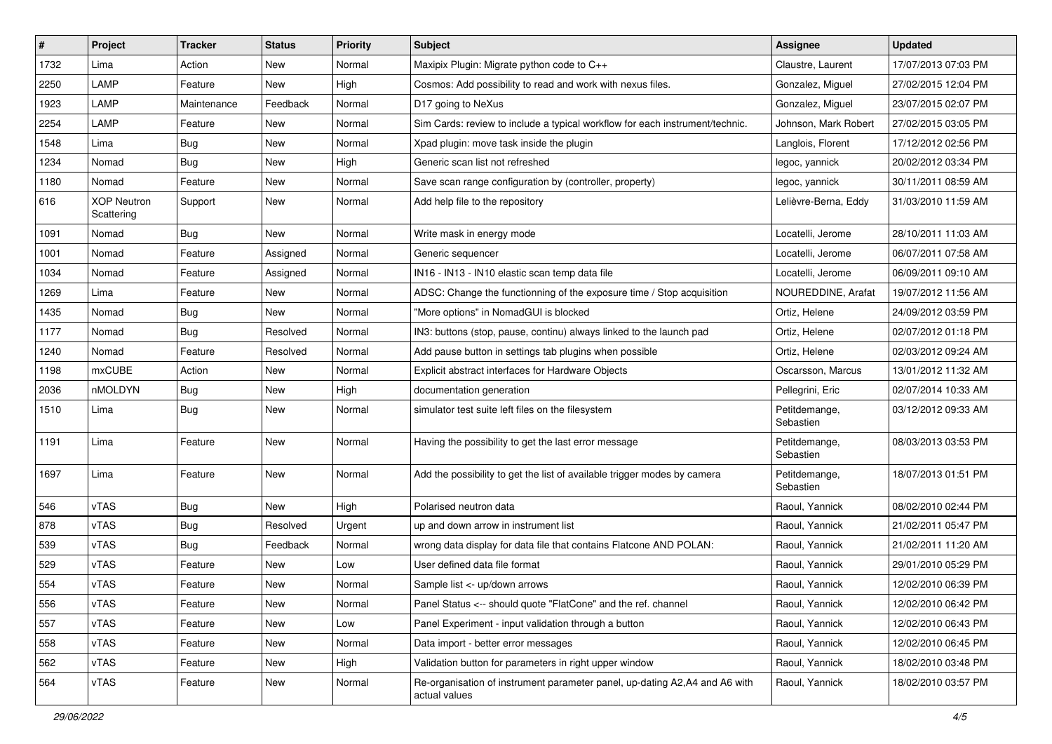| $\#$ | Project                          | <b>Tracker</b> | <b>Status</b> | <b>Priority</b> | <b>Subject</b>                                                                              | <b>Assignee</b>            | <b>Updated</b>      |
|------|----------------------------------|----------------|---------------|-----------------|---------------------------------------------------------------------------------------------|----------------------------|---------------------|
| 1732 | Lima                             | Action         | New           | Normal          | Maxipix Plugin: Migrate python code to C++                                                  | Claustre, Laurent          | 17/07/2013 07:03 PM |
| 2250 | LAMP                             | Feature        | New           | High            | Cosmos: Add possibility to read and work with nexus files.                                  | Gonzalez, Miguel           | 27/02/2015 12:04 PM |
| 1923 | LAMP                             | Maintenance    | Feedback      | Normal          | D17 going to NeXus                                                                          | Gonzalez, Miguel           | 23/07/2015 02:07 PM |
| 2254 | LAMP                             | Feature        | New           | Normal          | Sim Cards: review to include a typical workflow for each instrument/technic.                | Johnson, Mark Robert       | 27/02/2015 03:05 PM |
| 1548 | Lima                             | <b>Bug</b>     | New           | Normal          | Xpad plugin: move task inside the plugin                                                    | Langlois, Florent          | 17/12/2012 02:56 PM |
| 1234 | Nomad                            | <b>Bug</b>     | New           | High            | Generic scan list not refreshed                                                             | legoc, yannick             | 20/02/2012 03:34 PM |
| 1180 | Nomad                            | Feature        | New           | Normal          | Save scan range configuration by (controller, property)                                     | legoc, yannick             | 30/11/2011 08:59 AM |
| 616  | <b>XOP Neutron</b><br>Scattering | Support        | New           | Normal          | Add help file to the repository                                                             | Lelièvre-Berna, Eddy       | 31/03/2010 11:59 AM |
| 1091 | Nomad                            | <b>Bug</b>     | New           | Normal          | Write mask in energy mode                                                                   | Locatelli, Jerome          | 28/10/2011 11:03 AM |
| 1001 | Nomad                            | Feature        | Assigned      | Normal          | Generic sequencer                                                                           | Locatelli, Jerome          | 06/07/2011 07:58 AM |
| 1034 | Nomad                            | Feature        | Assigned      | Normal          | IN16 - IN13 - IN10 elastic scan temp data file                                              | Locatelli, Jerome          | 06/09/2011 09:10 AM |
| 1269 | Lima                             | Feature        | New           | Normal          | ADSC: Change the functionning of the exposure time / Stop acquisition                       | NOUREDDINE, Arafat         | 19/07/2012 11:56 AM |
| 1435 | Nomad                            | <b>Bug</b>     | New           | Normal          | "More options" in NomadGUI is blocked                                                       | Ortiz, Helene              | 24/09/2012 03:59 PM |
| 1177 | Nomad                            | <b>Bug</b>     | Resolved      | Normal          | IN3: buttons (stop, pause, continu) always linked to the launch pad                         | Ortiz, Helene              | 02/07/2012 01:18 PM |
| 1240 | Nomad                            | Feature        | Resolved      | Normal          | Add pause button in settings tab plugins when possible                                      | Ortiz, Helene              | 02/03/2012 09:24 AM |
| 1198 | <b>mxCUBE</b>                    | Action         | New           | Normal          | Explicit abstract interfaces for Hardware Objects                                           | Oscarsson, Marcus          | 13/01/2012 11:32 AM |
| 2036 | nMOLDYN                          | Bug            | New           | High            | documentation generation                                                                    | Pellegrini, Eric           | 02/07/2014 10:33 AM |
| 1510 | Lima                             | <b>Bug</b>     | New           | Normal          | simulator test suite left files on the filesystem                                           | Petitdemange,<br>Sebastien | 03/12/2012 09:33 AM |
| 1191 | Lima                             | Feature        | New           | Normal          | Having the possibility to get the last error message                                        | Petitdemange,<br>Sebastien | 08/03/2013 03:53 PM |
| 1697 | Lima                             | Feature        | <b>New</b>    | Normal          | Add the possibility to get the list of available trigger modes by camera                    | Petitdemange,<br>Sebastien | 18/07/2013 01:51 PM |
| 546  | vTAS                             | Bug            | New           | High            | Polarised neutron data                                                                      | Raoul, Yannick             | 08/02/2010 02:44 PM |
| 878  | vTAS                             | <b>Bug</b>     | Resolved      | Urgent          | up and down arrow in instrument list                                                        | Raoul, Yannick             | 21/02/2011 05:47 PM |
| 539  | vTAS                             | Bug            | Feedback      | Normal          | wrong data display for data file that contains Flatcone AND POLAN:                          | Raoul, Yannick             | 21/02/2011 11:20 AM |
| 529  | vTAS                             | Feature        | New           | Low             | User defined data file format                                                               | Raoul, Yannick             | 29/01/2010 05:29 PM |
| 554  | vTAS                             | Feature        | New           | Normal          | Sample list <- up/down arrows                                                               | Raoul, Yannick             | 12/02/2010 06:39 PM |
| 556  | vTAS                             | Feature        | New           | Normal          | Panel Status <-- should quote "FlatCone" and the ref. channel                               | Raoul, Yannick             | 12/02/2010 06:42 PM |
| 557  | vTAS                             | Feature        | New           | Low             | Panel Experiment - input validation through a button                                        | Raoul, Yannick             | 12/02/2010 06:43 PM |
| 558  | vTAS                             | Feature        | New           | Normal          | Data import - better error messages                                                         | Raoul, Yannick             | 12/02/2010 06:45 PM |
| 562  | vTAS                             | Feature        | New           | High            | Validation button for parameters in right upper window                                      | Raoul, Yannick             | 18/02/2010 03:48 PM |
| 564  | vTAS                             | Feature        | New           | Normal          | Re-organisation of instrument parameter panel, up-dating A2,A4 and A6 with<br>actual values | Raoul, Yannick             | 18/02/2010 03:57 PM |